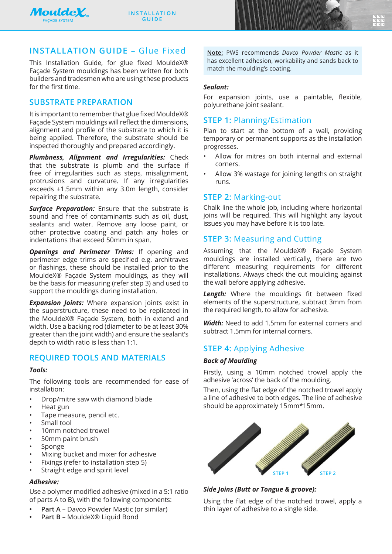

 $V_{\ell}$ **rendez.** 

**prestigent in the community of the community of the community of the community of the community of the community** 

# **INSTALLATION GUIDE** – Glue Fixed

This Installation Guide, for glue fixed MouldeX® Façade System mouldings has been written for both builders and tradesmen who are using these products for the first time.

## **SUBSTRATE PREPARATION**

It is important to remember that glue fixed MouldeX® Façade System mouldings will reflect the dimensions, alignment and profile of the substrate to which it is being applied. Therefore, the substrate should be inspected thoroughly and prepared accordingly.

*Plumbness, Alignment and Irregularities:* Check that the substrate is plumb and the surface if free of irregularities such as steps, misalignment, protrusions and curvature. If any irregularities exceeds ±1.5mm within any 3.0m length, consider repairing the substrate.

**Surface Preparation:** Ensure that the substrate is sound and free of contaminants such as oil, dust, sealants and water. Remove any loose paint, or other protective coating and patch any holes or indentations that exceed 50mm in span.

*Openings and Perimeter Trims:* If opening and perimeter edge trims are specified e.g. architraves or flashings, these should be installed prior to the MouldeX® Façade System mouldings, as they will be the basis for measuring (refer step 3) and used to support the mouldings during installation.

*Expansion Joints:* Where expansion joints exist in the superstructure, these need to be replicated in the MouldeX® Façade System, both in extend and width. Use a backing rod (diameter to be at least 30% greater than the joint width) and ensure the sealant's depth to width ratio is less than 1:1.

## **REQUIRED TOOLS AND MATERIALS**

### *Tools:*

The following tools are recommended for ease of installation:

- Drop/mitre saw with diamond blade
- Heat gun
- Tape measure, pencil etc.
- Small tool
- 10mm notched trowel
- 50mm paint brush
- Sponge
- Mixing bucket and mixer for adhesive
- Fixings (refer to installation step 5)
- Straight edge and spirit level

### *Adhesive:*

Use a polymer modified adhesive (mixed in a 5:1 ratio of parts A to B), with the following components:

- **• Part A**  Davco Powder Mastic (or similar)
- **• Part B** MouldeX® Liquid Bond

**Note:** PWS recommends *Davco Powder Mastic* as it has excellent adhesion, workability and sands back to match the moulding's coating.

#### *Sealant:*

For expansion joints, use a paintable, flexible, polyurethane joint sealant.

## **STEP 1:** Planning/Estimation

Plan to start at the bottom of a wall, providing temporary or permanent supports as the installation progresses.

- Allow for mitres on both internal and external corners.
- Allow 3% wastage for joining lengths on straight runs.

## **STEP 2:** Marking-out

Chalk line the whole job, including where horizontal joins will be required. This will highlight any layout issues you may have before it is too late.

## **STEP 3:** Measuring and Cutting

Assuming that the MouldeX® Façade System mouldings are installed vertically, there are two different measuring requirements for different installations. Always check the cut moulding against the wall before applying adhesive.

*Length:* Where the mouldings fit between fixed elements of the superstructure, subtract 3mm from the required length, to allow for adhesive.

*Width:* Need to add 1.5mm for external corners and subtract 1.5mm for internal corners.

## **STEP 4:** Applying Adhesive

### *Back of Moulding*

Firstly, using a 10mm notched trowel apply the adhesive 'across' the back of the moulding.

Then, using the flat edge of the notched trowel apply a line of adhesive to both edges. The line of adhesive should be approximately 15mm\*15mm.



## *Side Joins (Butt or Tongue & groove):*

Using the flat edge of the notched trowel, apply a thin layer of adhesive to a single side.